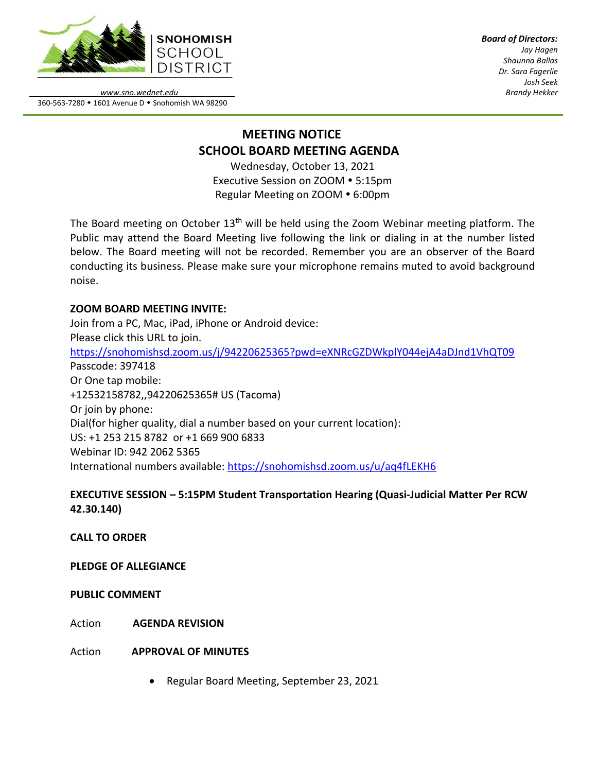

*Board of Directors: Jay Hagen Shaunna Ballas Dr. Sara Fagerlie Josh Seek Brandy Hekker*

*www.sno.wednet.edu* 360-563-7280 • 1601 Avenue D • Snohomish WA 98290

# **MEETING NOTICE SCHOOL BOARD MEETING AGENDA**

Wednesday, October 13, 2021 Executive Session on ZOOM . 5:15pm Regular Meeting on ZOOM • 6:00pm

The Board meeting on October 13<sup>th</sup> will be held using the Zoom Webinar meeting platform. The Public may attend the Board Meeting live following the link or dialing in at the number listed below. The Board meeting will not be recorded. Remember you are an observer of the Board conducting its business. Please make sure your microphone remains muted to avoid background noise.

### **ZOOM BOARD MEETING INVITE:**

Join from a PC, Mac, iPad, iPhone or Android device: Please click this URL to join. <https://snohomishsd.zoom.us/j/94220625365?pwd=eXNRcGZDWkplY044ejA4aDJnd1VhQT09> Passcode: 397418 Or One tap mobile: +12532158782,,94220625365# US (Tacoma) Or join by phone: Dial(for higher quality, dial a number based on your current location): US: +1 253 215 8782 or +1 669 900 6833 Webinar ID: 942 2062 5365 International numbers available:<https://snohomishsd.zoom.us/u/aq4fLEKH6>

# **EXECUTIVE SESSION – 5:15PM Student Transportation Hearing (Quasi-Judicial Matter Per RCW 42.30.140)**

**CALL TO ORDER**

# **PLEDGE OF ALLEGIANCE**

**PUBLIC COMMENT**

Action **AGENDA REVISION**

Action **APPROVAL OF MINUTES**

• Regular Board Meeting, September 23, 2021